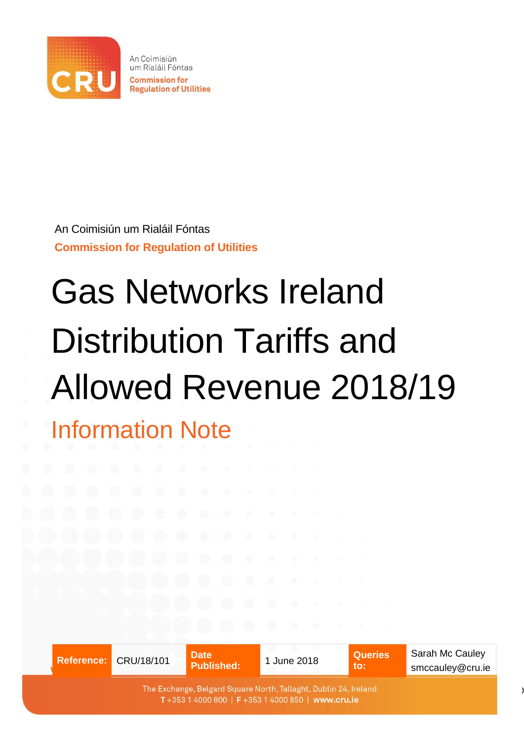

An Coimisiún um Rialáil Fóntas **Commission for Regulation of Utilities** 

An Coimisiún um Rialáil Fóntas **Commission for Regulation of Utilities**

# Gas Networks Ireland Distribution Tariffs and Allowed Revenue 2018/19

Information Note

|  | Reference: CRU/18/101                                                                                                | <b>Date</b><br><b>Published:</b> | 1 June 2018 | <b>Queries</b><br>to: | Sarah Mc Cauley<br>smccauley@cru.ie |
|--|----------------------------------------------------------------------------------------------------------------------|----------------------------------|-------------|-----------------------|-------------------------------------|
|  | The Exchange, Belgard Square North, Tallaght, Dublin 24, Ireland<br>T+353 1 4000 800   F+353 1 4000 850   www.cru.ie |                                  |             |                       |                                     |

0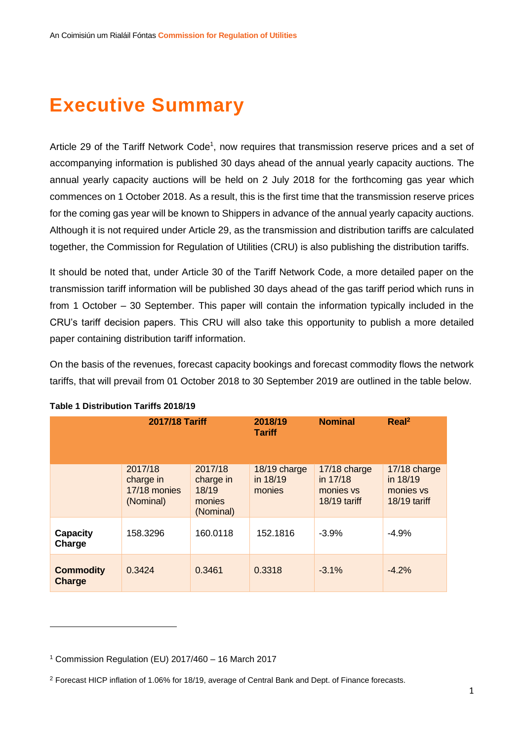## **Executive Summary**

Article 29 of the Tariff Network Code<sup>1</sup>, now requires that transmission reserve prices and a set of accompanying information is published 30 days ahead of the annual yearly capacity auctions. The annual yearly capacity auctions will be held on 2 July 2018 for the forthcoming gas year which commences on 1 October 2018. As a result, this is the first time that the transmission reserve prices for the coming gas year will be known to Shippers in advance of the annual yearly capacity auctions. Although it is not required under Article 29, as the transmission and distribution tariffs are calculated together, the Commission for Regulation of Utilities (CRU) is also publishing the distribution tariffs.

It should be noted that, under Article 30 of the Tariff Network Code, a more detailed paper on the transmission tariff information will be published 30 days ahead of the gas tariff period which runs in from 1 October – 30 September. This paper will contain the information typically included in the CRU's tariff decision papers. This CRU will also take this opportunity to publish a more detailed paper containing distribution tariff information.

On the basis of the revenues, forecast capacity bookings and forecast commodity flows the network tariffs, that will prevail from 01 October 2018 to 30 September 2019 are outlined in the table below.

|                            | <b>2017/18 Tariff</b>                             |                                                      | 2018/19<br><b>Tariff</b>           | <b>Nominal</b>                                        | Real <sup>2</sup>                                     |
|----------------------------|---------------------------------------------------|------------------------------------------------------|------------------------------------|-------------------------------------------------------|-------------------------------------------------------|
|                            | 2017/18<br>charge in<br>17/18 monies<br>(Nominal) | 2017/18<br>charge in<br>18/19<br>monies<br>(Nominal) | 18/19 charge<br>in 18/19<br>monies | 17/18 charge<br>in 17/18<br>monies vs<br>18/19 tariff | 17/18 charge<br>in 18/19<br>monies vs<br>18/19 tariff |
| <b>Capacity</b><br>Charge  | 158.3296                                          | 160.0118                                             | 152.1816                           | $-3.9%$                                               | $-4.9%$                                               |
| <b>Commodity</b><br>Charge | 0.3424                                            | 0.3461                                               | 0.3318                             | $-3.1\%$                                              | $-4.2%$                                               |

#### **Table 1 Distribution Tariffs 2018/19**

1

<sup>1</sup> Commission Regulation (EU) 2017/460 – 16 March 2017

<sup>2</sup> Forecast HICP inflation of 1.06% for 18/19, average of Central Bank and Dept. of Finance forecasts.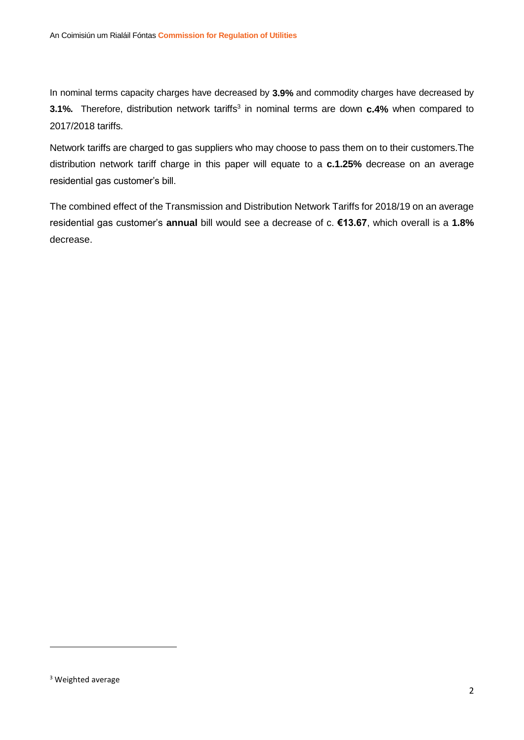In nominal terms capacity charges have decreased by **3.9%** and commodity charges have decreased by **3.1%.** Therefore, distribution network tariffs<sup>3</sup> in nominal terms are down **c.4%** when compared to 2017/2018 tariffs.

Network tariffs are charged to gas suppliers who may choose to pass them on to their customers.The distribution network tariff charge in this paper will equate to a **c.1.25%** decrease on an average residential gas customer's bill.

The combined effect of the Transmission and Distribution Network Tariffs for 2018/19 on an average residential gas customer's **annual** bill would see a decrease of c. **€13.67**, which overall is a **1.8%** decrease.

**.** 

<sup>&</sup>lt;sup>3</sup> Weighted average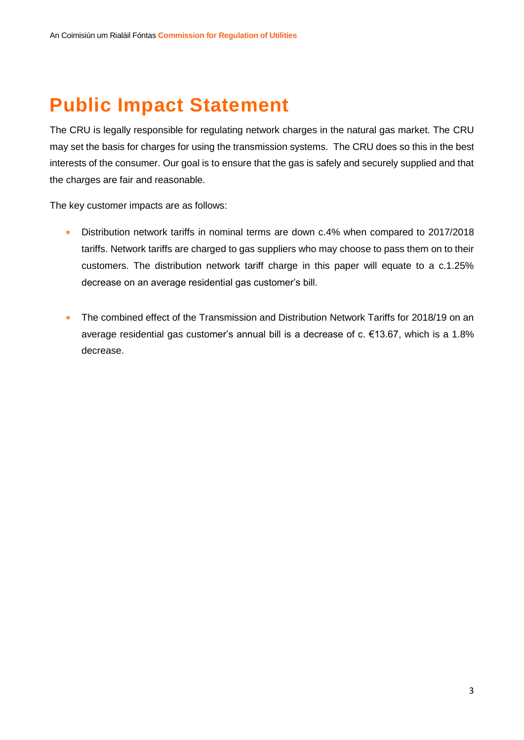# **Public Impact Statement**

The CRU is legally responsible for regulating network charges in the natural gas market. The CRU may set the basis for charges for using the transmission systems. The CRU does so this in the best interests of the consumer. Our goal is to ensure that the gas is safely and securely supplied and that the charges are fair and reasonable.

The key customer impacts are as follows:

- Distribution network tariffs in nominal terms are down c.4% when compared to 2017/2018 tariffs. Network tariffs are charged to gas suppliers who may choose to pass them on to their customers. The distribution network tariff charge in this paper will equate to a c.1.25% decrease on an average residential gas customer's bill.
- The combined effect of the Transmission and Distribution Network Tariffs for 2018/19 on an average residential gas customer's annual bill is a decrease of c. €13.67, which is a 1.8% decrease.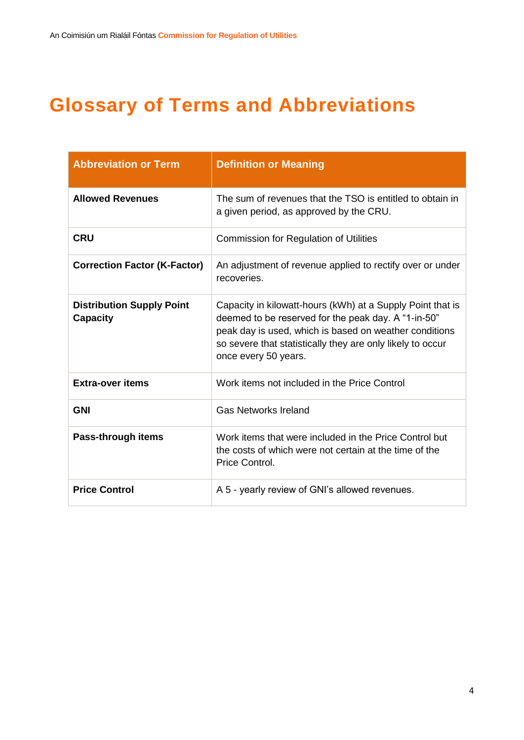# **Glossary of Terms and Abbreviations**

| <b>Abbreviation or Term</b>                         | <b>Definition or Meaning</b>                                                                                                                                                                                                                                      |  |  |  |
|-----------------------------------------------------|-------------------------------------------------------------------------------------------------------------------------------------------------------------------------------------------------------------------------------------------------------------------|--|--|--|
| <b>Allowed Revenues</b>                             | The sum of revenues that the TSO is entitled to obtain in<br>a given period, as approved by the CRU.                                                                                                                                                              |  |  |  |
| <b>CRU</b>                                          | <b>Commission for Regulation of Utilities</b>                                                                                                                                                                                                                     |  |  |  |
| <b>Correction Factor (K-Factor)</b>                 | An adjustment of revenue applied to rectify over or under<br>recoveries.                                                                                                                                                                                          |  |  |  |
| <b>Distribution Supply Point</b><br><b>Capacity</b> | Capacity in kilowatt-hours (kWh) at a Supply Point that is<br>deemed to be reserved for the peak day. A "1-in-50"<br>peak day is used, which is based on weather conditions<br>so severe that statistically they are only likely to occur<br>once every 50 years. |  |  |  |
| <b>Extra-over items</b>                             | Work items not included in the Price Control                                                                                                                                                                                                                      |  |  |  |
| <b>GNI</b>                                          | <b>Gas Networks Ireland</b>                                                                                                                                                                                                                                       |  |  |  |
| Pass-through items                                  | Work items that were included in the Price Control but<br>the costs of which were not certain at the time of the<br>Price Control.                                                                                                                                |  |  |  |
| <b>Price Control</b>                                | A 5 - yearly review of GNI's allowed revenues.                                                                                                                                                                                                                    |  |  |  |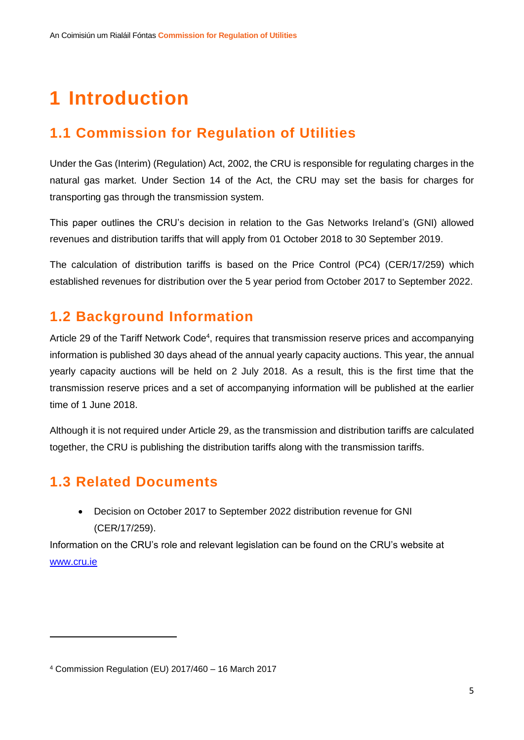# **1 Introduction**

### **1.1 Commission for Regulation of Utilities**

Under the Gas (Interim) (Regulation) Act, 2002, the CRU is responsible for regulating charges in the natural gas market. Under Section 14 of the Act, the CRU may set the basis for charges for transporting gas through the transmission system.

This paper outlines the CRU's decision in relation to the Gas Networks Ireland's (GNI) allowed revenues and distribution tariffs that will apply from 01 October 2018 to 30 September 2019.

The calculation of distribution tariffs is based on the Price Control (PC4) (CER/17/259) which established revenues for distribution over the 5 year period from October 2017 to September 2022.

#### **1.2 Background Information**

Article 29 of the Tariff Network Code<sup>4</sup>, requires that transmission reserve prices and accompanying information is published 30 days ahead of the annual yearly capacity auctions. This year, the annual yearly capacity auctions will be held on 2 July 2018. As a result, this is the first time that the transmission reserve prices and a set of accompanying information will be published at the earlier time of 1 June 2018.

Although it is not required under Article 29, as the transmission and distribution tariffs are calculated together, the CRU is publishing the distribution tariffs along with the transmission tariffs.

## **1.3 Related Documents**

**.** 

 Decision on October 2017 to September 2022 distribution revenue for GNI (CER/17/259).

Information on the CRU's role and relevant legislation can be found on the CRU's website at [www.cru.ie](http://www.cru.ie/)

<sup>4</sup> Commission Regulation (EU) 2017/460 – 16 March 2017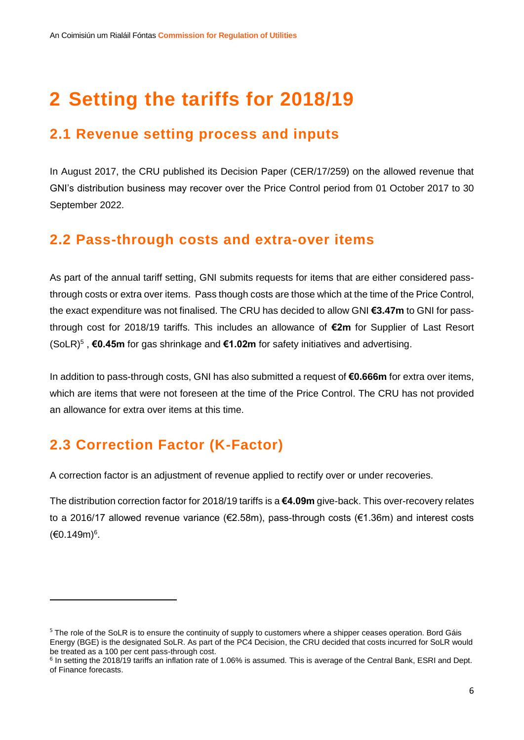# **2 Setting the tariffs for 2018/19**

#### **2.1 Revenue setting process and inputs**

In August 2017, the CRU published its Decision Paper (CER/17/259) on the allowed revenue that GNI's distribution business may recover over the Price Control period from 01 October 2017 to 30 September 2022.

#### **2.2 Pass-through costs and extra-over items**

As part of the annual tariff setting, GNI submits requests for items that are either considered passthrough costs or extra over items. Pass though costs are those which at the time of the Price Control, the exact expenditure was not finalised. The CRU has decided to allow GNI **€3.47m** to GNI for passthrough cost for 2018/19 tariffs. This includes an allowance of **€2m** for Supplier of Last Resort (SoLR)<sup>5</sup> , **€0.45m** for gas shrinkage and **€1.02m** for safety initiatives and advertising.

In addition to pass-through costs, GNI has also submitted a request of **€0.666m** for extra over items, which are items that were not foreseen at the time of the Price Control. The CRU has not provided an allowance for extra over items at this time.

### **2.3 Correction Factor (K-Factor)**

**.** 

A correction factor is an adjustment of revenue applied to rectify over or under recoveries.

The distribution correction factor for 2018/19 tariffs is a **€4.09m** give-back. This over-recovery relates to a 2016/17 allowed revenue variance (€2.58m), pass-through costs (€1.36m) and interest costs (€0.149m) 6 .

<sup>&</sup>lt;sup>5</sup> The role of the SoLR is to ensure the continuity of supply to customers where a shipper ceases operation. Bord Gáis Energy (BGE) is the designated SoLR. As part of the PC4 Decision, the CRU decided that costs incurred for SoLR would be treated as a 100 per cent pass-through cost.

<sup>&</sup>lt;sup>6</sup> In setting the 2018/19 tariffs an inflation rate of 1.06% is assumed. This is average of the Central Bank, ESRI and Dept. of Finance forecasts.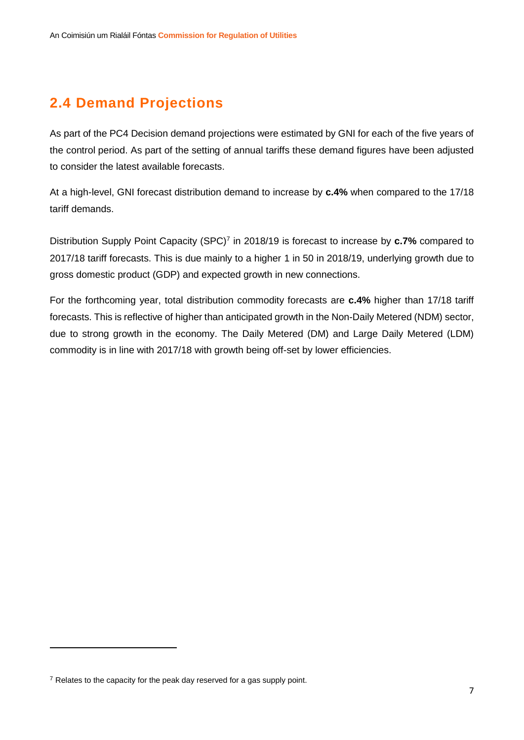## **2.4 Demand Projections**

As part of the PC4 Decision demand projections were estimated by GNI for each of the five years of the control period. As part of the setting of annual tariffs these demand figures have been adjusted to consider the latest available forecasts.

At a high-level, GNI forecast distribution demand to increase by **c.4%** when compared to the 17/18 tariff demands.

Distribution Supply Point Capacity (SPC)<sup>7</sup> in 2018/19 is forecast to increase by **c.7%** compared to 2017/18 tariff forecasts. This is due mainly to a higher 1 in 50 in 2018/19, underlying growth due to gross domestic product (GDP) and expected growth in new connections.

For the forthcoming year, total distribution commodity forecasts are **c.4%** higher than 17/18 tariff forecasts. This is reflective of higher than anticipated growth in the Non-Daily Metered (NDM) sector, due to strong growth in the economy. The Daily Metered (DM) and Large Daily Metered (LDM) commodity is in line with 2017/18 with growth being off-set by lower efficiencies.

**.** 

 $<sup>7</sup>$  Relates to the capacity for the peak day reserved for a gas supply point.</sup>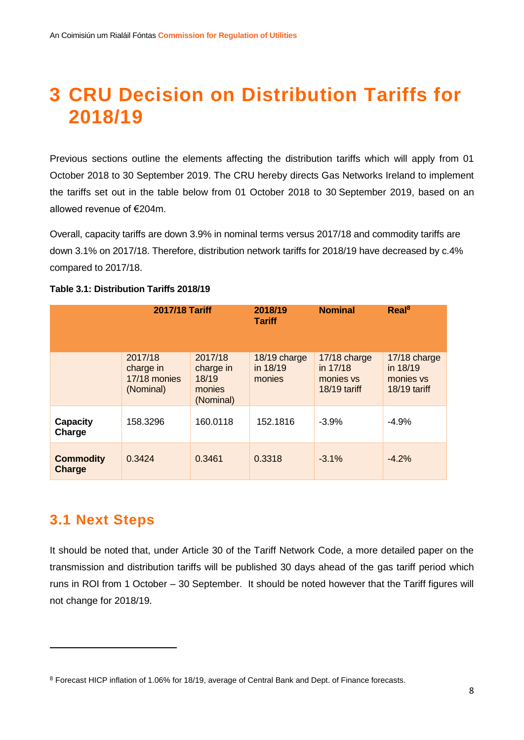## **3 CRU Decision on Distribution Tariffs for 2018/19**

Previous sections outline the elements affecting the distribution tariffs which will apply from 01 October 2018 to 30 September 2019. The CRU hereby directs Gas Networks Ireland to implement the tariffs set out in the table below from 01 October 2018 to 30 September 2019, based on an allowed revenue of €204m.

Overall, capacity tariffs are down 3.9% in nominal terms versus 2017/18 and commodity tariffs are down 3.1% on 2017/18. Therefore, distribution network tariffs for 2018/19 have decreased by c.4% compared to 2017/18.

|                            | <b>2017/18 Tariff</b>                             |                                                      | 2018/19<br><b>Tariff</b>           | <b>Nominal</b>                                        | Real <sup>8</sup>                                     |
|----------------------------|---------------------------------------------------|------------------------------------------------------|------------------------------------|-------------------------------------------------------|-------------------------------------------------------|
|                            | 2017/18<br>charge in<br>17/18 monies<br>(Nominal) | 2017/18<br>charge in<br>18/19<br>monies<br>(Nominal) | 18/19 charge<br>in 18/19<br>monies | 17/18 charge<br>in 17/18<br>monies vs<br>18/19 tariff | 17/18 charge<br>in 18/19<br>monies vs<br>18/19 tariff |
| <b>Capacity</b><br>Charge  | 158.3296                                          | 160.0118                                             | 152.1816                           | $-3.9%$                                               | $-4.9%$                                               |
| <b>Commodity</b><br>Charge | 0.3424                                            | 0.3461                                               | 0.3318                             | $-3.1%$                                               | $-4.2%$                                               |

#### **Table 3.1: Distribution Tariffs 2018/19**

#### **3.1 Next Steps**

**.** 

It should be noted that, under Article 30 of the Tariff Network Code, a more detailed paper on the transmission and distribution tariffs will be published 30 days ahead of the gas tariff period which runs in ROI from 1 October – 30 September. It should be noted however that the Tariff figures will not change for 2018/19.

<sup>8</sup> Forecast HICP inflation of 1.06% for 18/19, average of Central Bank and Dept. of Finance forecasts.